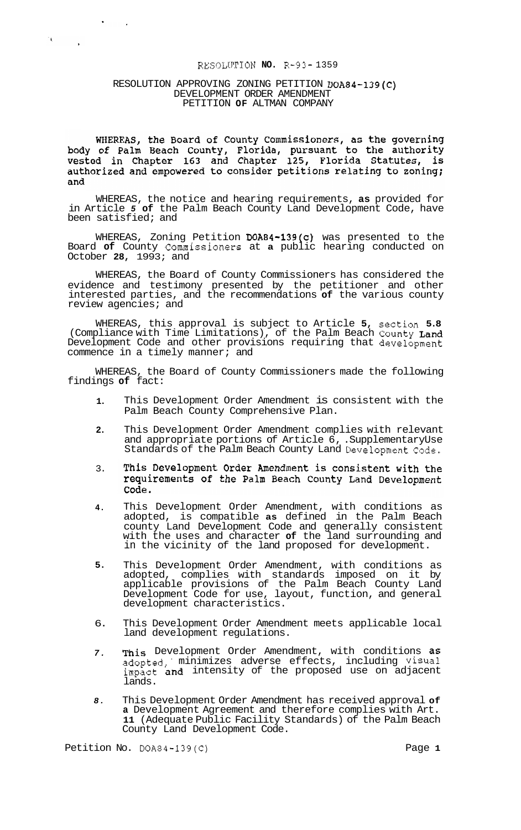# RESOLUTION **NO.** R-93- 1359

#### RESOLUTION APPROVING ZONING PETITION DOA84-139(C) DEVELOPMENT ORDER AMENDMENT PETITION **OF** ALTMAN COMPANY

 $\sim$ 

 $\mathbf{t}$ 

WHEREAS, the Board of County Commissioners, as the governing<br>body of Palm Beach County, Florida, pursuant to the authority<br>vested in Chapter 163 and Chapter 125, Florida Statutes, is<br>authorized and empowered to consider pe and

WHEREAS, the notice and hearing requirements, **as** provided for in Article *5* **of** the Palm Beach County Land Development Code, have been satisfied; and

WHEREAS, Zoning Petition DOA84-139(c) was presented to the Board **of** County Commissioners at **a** public hearing conducted on October **28,** 1993; and

WHEREAS, the Board of County Commissioners has considered the evidence and testimony presented by the petitioner and other interested parties, and the recommendations **of** the various county review agencies; and

WHEREAS, this approval is subject to Article **5,** section **5.8**  (Compliance with Time Limitations), of the Palm Beach County Land Development Code and other provisions requiring that development commence in a timely manner; and

WHEREAS, the Board of County Commissioners made the following findings **of** fact:

- **1.**  This Development Order Amendment is consistent with the Palm Beach County Comprehensive Plan.
- **2.**  This Development Order Amendment complies with relevant and appropriate portions of Article 6, .Supplementary Use Standards of the Palm Beach County Land Development Code.
- This Development Order Amendment is consistent with the 3. requirements of the Palm Beach County Land Development Code.
- **4.**  This Development Order Amendment, with conditions as adopted, is compatible **as** defined in the Palm Beach county Land Development Code and generally consistent with the uses and character **of** the land surrounding and in the vicinity of the land proposed for development.
- **5.**  This Development Order Amendment, with conditions as adopted, complies with standards imposed on it by applicable provisions of the Palm Beach County Land Development Code for use, layout, function, and general development characteristics.
- 6. This Development Order Amendment meets applicable local land development regulations.
- *7.*  This Development Order Amendment, with conditions as adopted,. minimizes adverse effects, including Visual impact and intensity of the proposed use on adjacent lands.
- *8.*  This Development Order Amendment has received approval **of a** Development Agreement and therefore complies with Art. **11** (Adequate Public Facility Standards) of the Palm Beach County Land Development Code.

Petition No. DOA84-139(C) Petition No. 20089-1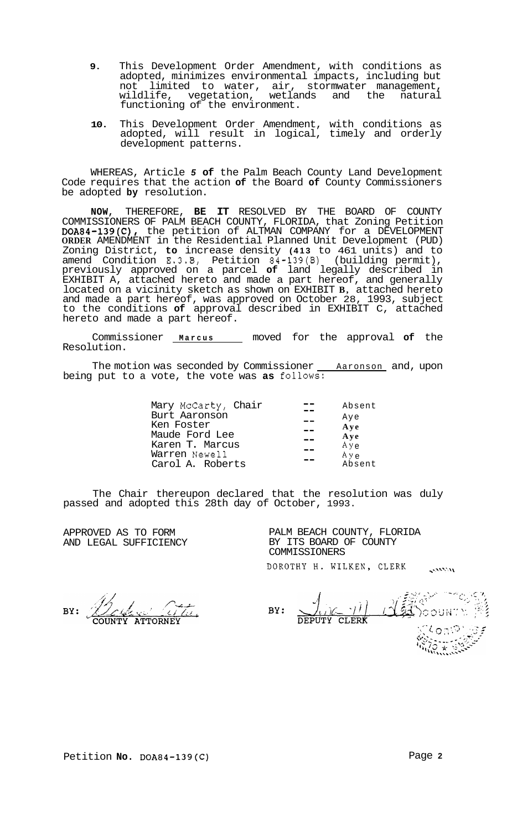- **9.** This Development Order Amendment, with conditions as adopted, minimizes environmental impacts, including but not limited to water, air, stormwater management, wildlife, vegetation, wetlands and the natural functioning of the environment.
- **10.** This Development Order Amendment, with conditions as adopted, will result in logical, timely and orderly development patterns.

WHEREAS, Article *5* **of** the Palm Beach County Land Development Code requires that the action **of** the Board **of** County Commissioners be adopted **by** resolution.

**NOW,** THEREFORE, **BE IT** RESOLVED BY THE BOARD OF COUNTY COMMISSIONERS OF PALM BEACH COUNTY, FLORIDA, that Zoning Petition DOA84-139(C), the petition of ALTMAN COMPANY for a DEVELOPMENT **ORDER** AMENDMENT in the Residential Planned Unit Development (PUD) Zoning District, **to** increase density **(413** to 461 units) and to amend Condition **E.3.8,** Petition 84-139(B) (building permit), previously approved on a parcel **of** land legally described in EXHIBIT A, attached hereto and made a part hereof, and generally located on a vicinity sketch as shown on EXHIBIT **B,** attached hereto and made a part hereof, was approved on October 28, 1993, subject to the conditions **of** approval described in EXHIBIT C, attached hereto and made a part hereof.

Commissioner **Marcus** moved for the approval **of** the Resolution.

The motion was seconded by Commissioner <u>Aaronson</u> and, upon being put to a vote, the vote was as follows:

| Mary McCarty, Chair | Absent |
|---------------------|--------|
| Burt Aaronson       | Aye    |
| Ken Foster          | Ave    |
| Maude Ford Lee      | Aye    |
| Karen T. Marcus     | Aye    |
| Warren Newell       | A y e  |
| Carol A. Roberts    | Absent |

The Chair thereupon declared that the resolution was duly passed and adopted this 28th day of October, 1993.

APPROVED AS TO FORM AND LEGAL SUFFICIENCY

PALM BEACH COUNTY, FLORIDA BY ITS BOARD OF COUNTY COMMISSIONERS DOROTHY H. WILKEN, CLERK

**COMMAND** 

BY:

下令器<br>INTV 感 READOOUNTY  $\sim$   $\left| \gamma \right|$  $BY:$ CLERK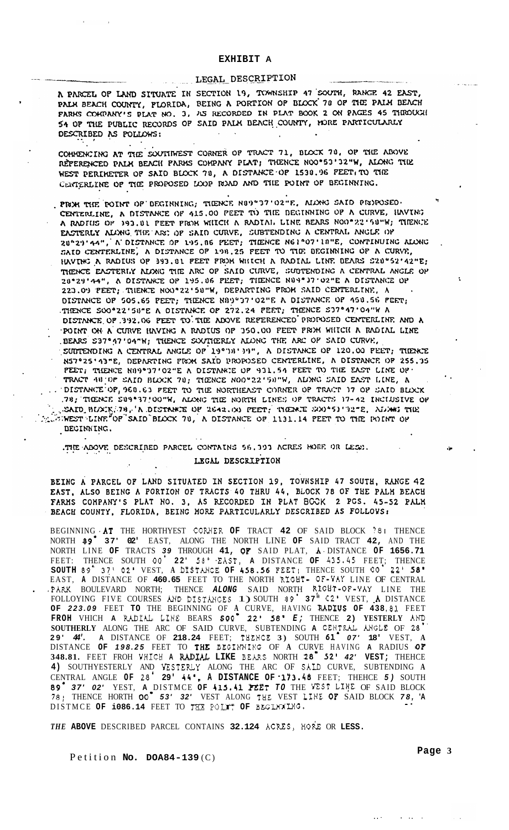# **EXHIBIT A**

# LEGAL DESCRIPTION

A PARCEL OF LAND SITUATE IN SECTION 19, TOWNSHIP 47 SOUTH, RANGE 42 EAST, PALE BEACH COUNTY, PLORIDA, BEING A PORTION OF BLOCK 78 OF THE PALM BEACH FARMS COMPANY'S PLAT NO. 3, AS RECORDED IN PLAT BOOK 2 ON PAGES 45 THROUGH 54 OP THE PUBLIC RECORDS OF SAID PALM BEACH COUNTY, MORE PARTICULARLY DESCRIBED AS POLLOWS:

,

COHMENCING AT THE SOUTHWEST CORNER OF TRACT 71, BLOCK 70, OF THE ABOVE REPERENCED PALM BEACH PARMS COMPANY PLAT; THENCE NOO\*53'32"W, ALONG THE WEST PERIMETER OF SAID BLOCK 78, A DISTANCE OF 1530.96 FEET, TO THE CENTERLINE OF THE PROPOSED LOOP ROAD AND THE POINT OF BEGINNING.

PROM THE POINT OF DEGINNING, THENCE N89"37'02"E. ALONG SAID PROPOSED. CENTERLINE, A DISTANCE OF 415.00 PEET TO THE DEGINNING OF A CURVE, HAVING A RADIUS OF 193.81 PEET FROH WILLET A RADIAL LINE BEARS NOO\*22'58"W; THENCE EASTERLY ALONG THE ART OF SAID CURVE, SUBTENDING A CENTRAL ANGLE OF 20°29'44", A DISTANCE OF 195.86 FEET; TIENCE N61°07'18"E, CONTINUING ALONG SAID CENTERLINE, A DISTANCE OF 198.25 FEET TO THE DEGINNING OF A CURVE, HAVING A RADIUS OF 393.81 FEET FROM WHICH A RADIAL LINE BEARS S20"52'42"E; THENCE EASTERLY ALONG THE ARC OP SAID CURVE, SUDTENDING A CENTRAL ANGLE OP 20°29'44", A DISTANCE OP 195.06 PEET; TIENCE N89°37'02"E A DISTANCE OP 223.09 PEET; THENCE NOO°22'58"W, DEPARTING FROM SAID CENTERLINE, A DISTANCE OF 505.65 PEET; THENCE NAMPD7'02"E A DISTANCE OF 450.56 PEET; THENCE SOOº22'50"E A DISTANCE OF 272.24 PEET; THENCE \$37°47'04"W A DISTANCE OF 392.06 PEET TO THE ADOVE REPERENCED PROPOSED CENTERLINE AND A POINT ON A CURVE HAVING A RADIUS OP 350.00 FEET PROM WHICH A RADIAL LINE BEARS S37°47'04"W; THENCE SOUTHERLY ALONG THE ARC OP SAID CURVE, SUBTENDING A CENTRAL ANGLE OF 19°DA' 39", A DISTANCE OF 120.00 PEET; THENCE N57°25'13"E, DEPARTING FROM SAID PROPOSED CENTERLINE, A DISTANCE OF 255.35 PEET; THENCE NIN9º37'02"E A DISTANCE OF 931.54 PEET TO THE EAST LINE OF TRACT 48 OP SAID BLOCK 78; THENCE NOO"22'50"W, ALONG SAID EAST LINE, A .. DISTANCE OP, 960.63 PEET TO THE NORTHEAST CORNER OF TRACT 17 OF SAID BLOCK .78; TIGENCE SU9°37'OO"W, ALONG THE NORTH LINES OF TRACTS 17-42 INCIDEIVE OF SAID BUXING RESTRATE OF 2642. ON PEET, THEN I SO TO THE ALOWS AND THE A STREET LINE OF SAID BLOCK 70, A DISTANCE OF 1131.14 PEET TO THE POINT OF DECINNING.

THE ABOVE DESCRIBED PARCEL CONTAINS 56.393 ACRES HORE OR LESS.

# LEGAL DESCRIPTION

BEING A PARCEL OF LAND SITUATED IN SECTION 19, TOYNSHIP 47 SOUTH, RANGE 42 EAST, ALSO BEING A PORTION OF TRACTS 40 THRU 44, BLOCK 78 OF THE PALH BEACH FARMS COMPANY'S PLAT NO. 3, AS RECORDED IN PLAT BOOK 2 PGS. 45-52 PALM BEACH COUNTY, FLORIDA, BEING HORE PARTICULARLY DESCRIBED AS FOLLOVS:

BEGINNING ,AT THE HORTHYEST CORHER **OF** TRACT **42** OF SAID BLOCK *78* **I** THENCE NORTH *89.* **37' 02'** EAST, ALONG THE NORTH LINE **OF** SAID TRACT **42,** AND THE FEET: THENCE SOUTH **00. 22'** *58' .EAST,* **A** DISTANCE **OF 435 -45** FEET; THENCE EAST, **A** DISTANCE OF **460.65** FEET TO THE NORTH RIGHT- **OF-YAY** LINE OF CENTRAL . .PARK BOULEVARD NORTH; THENCE *ALONG* SAID NORTH **R,IGHT-OF-YAY** LINE THE FOLLOYING FIVE COURSES AND DISTELHCES 1) SOUTH *89.* **37"** *02'* VEST, **.A** DISTANCE **OF** *223.09* FEET **TO** THE BEGINNING OF **A** CURVE, HAVING UDIUS **OF 438 -81** FEET **FROH** VHICH **A** WIAL LINE BEARS **SOO.** *22' 58' E;* THENCE **2) YESTERLY AND**  SOUTHERLY ALONG THE ARC OF SAID CURVE, SUBTENDING **A** CEHTRAL ANGLE OF 28 **29'** *44'.* **A** DISTANCE OF **218.24** FEET; THEHCE **3)** SOUTH **61.** *07'* **18'** VEST, **A**  DISTANCE **OF** *198.25* FEET TO **THE** BEGIKHING OF **A** CURVE HAVING **A** RADIUS **OF 348.81.** FEET FROH YHICH **A** ILrsI>L **LIKE** BEMS NORTH **28. 92'** *42'* **VEST;** THEHCE **4)** SOUTHYESTERLY AND YESTERLY ALONG THE ARC OF **SALD** CURVE, SUBTENDING **A**  CENTRAL ANGLE **OF 28. 29'** *44'.* **A DISTANCE OF** *-173.48* FEET; THEHCE *5)* SOUTH *09. 37' 02'* YEST, **A** DISTMCE **OF 413.41** FEET *TO* THE YEST LIFE OF SAID BLOCK **78:** THENCE HORTH *00. 53' 32'* VEST ALONG THE VEST LINE **OF** SAID BLOCK *78,* **'A**  \_. DISTMCE OF 1086.14 FEET TO THE POUT OF BEGINALIG. NORTH LINE **OF** TRACTS *39* THROUGH **41, OF** SAID PLAT, **A.** DISTANCE **OF 1656.71 SOUTH** *89.* **371** *02'* VEST, **A** DISTANCE **OF 458.56** FEET; THENCE SOUTH **00. 22'** *58-* 

*THE* **ABOVE** DESCRIBED PARCEL CONTAINS **32.124** ACRXS, HOlk OR **LESS.** 

Petition **No.** DOA84-139(C) **Page 3** 

.. . . .. .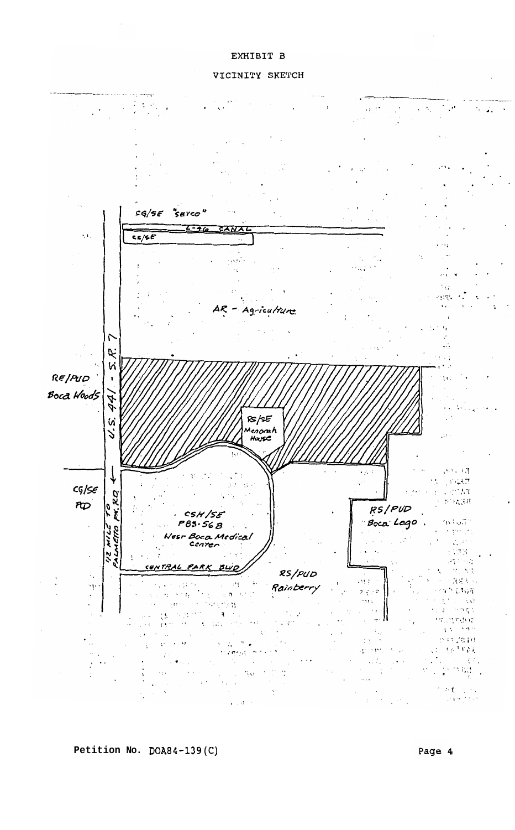# EXHIBIT B

#### VICINITY SKETCH



**Petition No. DOA84-139(C)** 

Page 4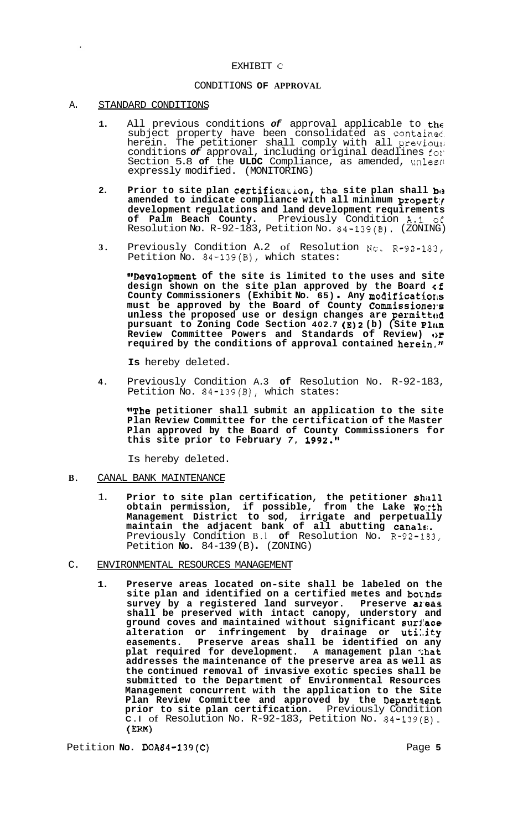#### EXHIBIT **C**

# CONDITIONS **OF APPROVAL**

#### A. STANDARD CONDITIONS

- **1.** All previous conditions *of* approval applicable to the subject property have been consolidated as contained. herein. The petitioner shall comply with all previous; conditions *of* approval, including original deadlines fol' Section 5.8 **of** the **ULDC** Compliance, as amended, unless; expressly modified. (MONITORING)
- **2.** Prior to site plan certification, the site plan shall be **amended to indicate compliance with all minimum propert:f development regulations and land development requirements of Palm Beach County.** Previously Condition A.1 *o€*  Resolution No. R-92-183, Petition No. 84-139(B). (ZONING)
- **3.** Previously Condition A.2 of Resolution **No.** R-92-183, Petition No. 84-139(B), which states:

**IrDevelopment of the site is limited to the uses and site**  design shown on the site plan approved by the Board of County Commissioners (Exhibit No. 65). Any modifications must be approved by the Board of County Commissioners unless the proposed use or design changes are permitted **pursuant to Zoning Code Section 402.7 (E)2 (b) (Site PliLn Review Committee Powers and Standards of Review) or required by the conditions of approval contained herein,"** 

**Is** hereby deleted.

**4.** Previously Condition A.3 **of** Resolution No. R-92-183, Petition No. 84-139(B), which states:

**"The petitioner shall submit an application to the site Plan Review Committee for the certification of the Master Plan approved by the Board of County Commissioners for this site prior to February** *7,* **1992."** 

Is hereby deleted.

- **B.** CANAL BANK MAINTENANCE
	- 1. **Prior to site plan certification, the petitioner shall obtain permission, if possible, from the Lake Wo:cth Management District to sod, irrigate and perpetually maintain the adjacent bank of all abutting canals;.**  Previously Condition B.l **of** Resolution No. R-92-1B3, Petition **No.** 84-139 (B) . (ZONING)
- C. ENVIRONMENTAL RESOURCES MANAGEMENT
	- **1. Preserve areas located on-site shall be labeled on the**  site plan and identified on a certified metes and bounds survey by a registered land surveyor. Preserve al'eas **shall be preserved with intact canopy, understory and ground coves and maintained without significant surl'ace alteration or infringement by drainage or uti:.ity easements. Preserve areas shall be identified on any plat required for development. A management plan 1;hat addresses the maintenance of the preserve area as well as the continued removal of invasive exotic species shall be submitted to the Department of Environmental Resources Management concurrent with the application to the Site Plan Review Committee and approved by the Departnent prior to site plan certification.** Previously Condition **C.l** of Resolution No. R-92-183, Petition No. 84-139(B). **(Em)**

Petition **No. DOA84-139(C)** Page 5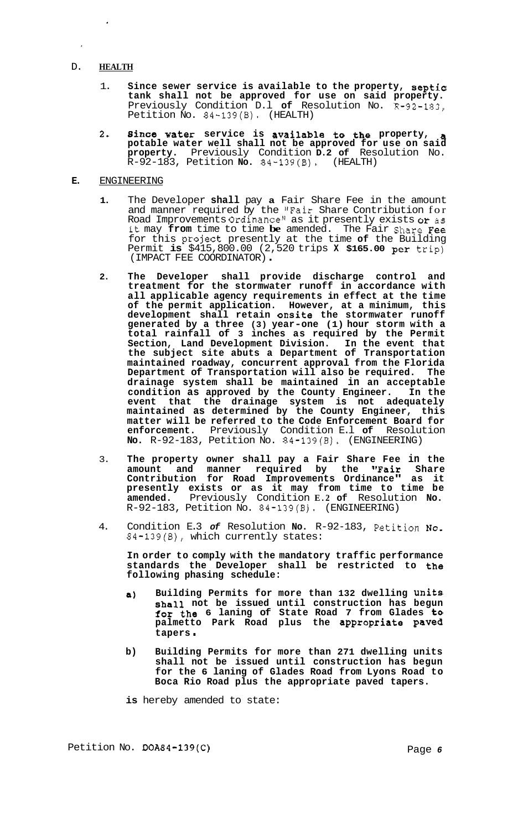# D. **HEALTH**

 $\lambda$ 

- 1. **Since sewer service is available to the property, septic tank shall not be approved for use on said property.**  Previously Condition D.l **of** Resolution No. R-92-183, Petition No. 84-139(B). (HEALTH)
- **2. since Water service is available to the property, a potable water well shall not be approved for use on said property.** Previously Condition **D.2 of** Resolution No. R-92-183, Petition **No.** 84-139(B). (HEALTH)

### **E.** ENGINEERING

- **1.** The Developer **shall** pay **a** Fair Share Fee in the amount and manner required by the "Fair Share Contribution for Road Improvements Ordinancell as it presently exists **or** as it may **from** time to time **be** amended. The Fair Share Fee for this project presently at the time **of** the Building Permit **is** \$415,800.00 (2,520 trips **X \$165.00 per** trip) (IMPACT FEE COORDINATOR) .
- **2. The Developer shall provide discharge control and treatment for the stormwater runoff in accordance with all applicable agency requirements in effect at the time of the permit application. However, at a minimum, this development shall retain onsite the stormwater runoff generated by a three (3) year-one (1) hour storm with a total rainfall of 3 inches as required by the Permit Section, Land Development Division. In the event that the subject site abuts a Department of Transportation maintained roadway, concurrent approval from the Florida Department of Transportation will also be required. The drainage system shall be maintained in an acceptable condition as approved by the County Engineer. In the event that the drainage system is not adequately maintained as determined by the County Engineer, this matter will be referred to the Code Enforcement Board for enforcement.** Previously Condition E.l **of** Resolution **No.** R-92-183, Petition No. 84-139(B). (ENGINEERING)
- 3. **The property owner shall pay a Fair Share Fee in the amount and manner required by the "Fair Share Contribution for Road Improvements Ordinance" as it presently exists or as it may from time to time be amended.** Previously Condition **E.2 of** Resolution **No.**  R-92-183, Petition No. 84-139(B). (ENGINEERING)
- 4. Condition E.3 *of* Resolution **No.** R-92-183, Petition **NO.**  84-139(B), which currently states:

**In order to comply with the mandatory traffic performance standards the Developer shall be restricted to the following phasing schedule:** 

- **a) Building Permits for more than 132 dwelling Units shall not be issued until construction has begun for the 6 laning of State Road 7 from Glades to palmetto Park Road plus the appropriate paved tapers** .
- **b) Building Permits for more than 271 dwelling units shall not be issued until construction has begun for the 6 laning of Glades Road from Lyons Road to Boca Rio Road plus the appropriate paved tapers.**

**is** hereby amended to state:

Petition No. **DOA84-139(C)** Page *6*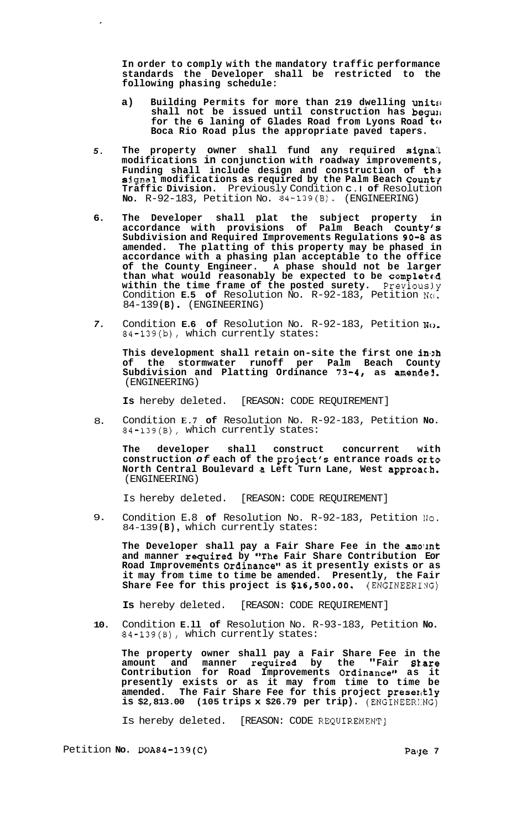**In order to comply with the mandatory traffic performance standards the Developer shall be restricted to the following phasing schedule:** 

- **a) Building Permits for more than 219 dwelling units1 shall not be issued until construction has begulr**  for the 6 laning of Glades Road from Lyons Road to **Boca Rio Road plus the appropriate paved tapers.**
- *5.*  **The property owner shall fund any required signa:L modifications in conjunction with roadway improvements, Funding shall include design and construction of the signal modifications as required by the Palm Beach Count'l Traffic Division.** Previously Condition **C.l of** Resolution **No.** R-92-183, Petition No. 84-139(B). (ENGINEERING)
- **6. The Developer shall plat the subject property in accordance with provisions of Palm Beach County's Subdivision and Required Improvements Regulations 90-8 as amended. The platting of this property may be phased in accordance with a phasing plan acceptable to the office of the County Engineer. A phase should not be larger than what would reasonably be expected to be completeid within the time frame of the posted surety.** Previous1.y Condition **E.5 of** Resolution No. R-92-183, Petition NCI. 84-139 **(B)** . (ENGINEERING)
- *7.*  Condition **E.6 of** Resolution No. R-92-183, Petition No. 84-139(b), which currently states:

**This development shall retain on-site the first one inlzh of the stormwater runoff per Palm Beach County**  Subdivision and Platting Ordinance 73-4, as amende1. (ENGINEERING)

**Is** hereby deleted. [REASON: CODE REQUIREMENT]

8. Condition **E.7 of** Resolution No. R-92-183, Petition **No.**  84-139(B), which currently states:

**The developer shall construct concurrent with construction** *of* **each of the project's entrance roads or.to North Central Boulevard a Left Turn Lane, West appr0ac.h.**  (ENGINEERING)

Is hereby deleted. [REASON: CODE REQUIREMENT]

9. Condition E.8 **of** Resolution No. R-92-183, Petition Ilo. 84-139 **(B)** , which currently states:

**The Developer shall pay a Fair Share Fee in the amolmt and manner required by #'The Fair Share Contribution Eor**  Road Improvements Ordinance" as it presently exists or as **it may from time to time be amended. Presently, the Fair**  Share Fee for this project is \$16,500.00. (ENGINEERING)

**Is** hereby deleted. [REASON: CODE REQUIREMENT]

**10.**  Condition **E.ll of** Resolution No. R-93-183, Petition **No.**  84-139(B), which currently states:

**The property owner shall pay a Fair Share Fee in the**  amount and manner required by the "Fair Stare **Contribution for Road Improvements Ordinance" as it presently exists or as it may from time to time be amended. The Fair Share Fee for this project presexltly is \$2,813.00 (105 trips x \$26.79 per trip).** (ENGINEER1:NG)

Is hereby deleted. [REASON: CODE REQUIREMENT]

Petition **No.** DOA84-139(C) **Package 7 Package 7**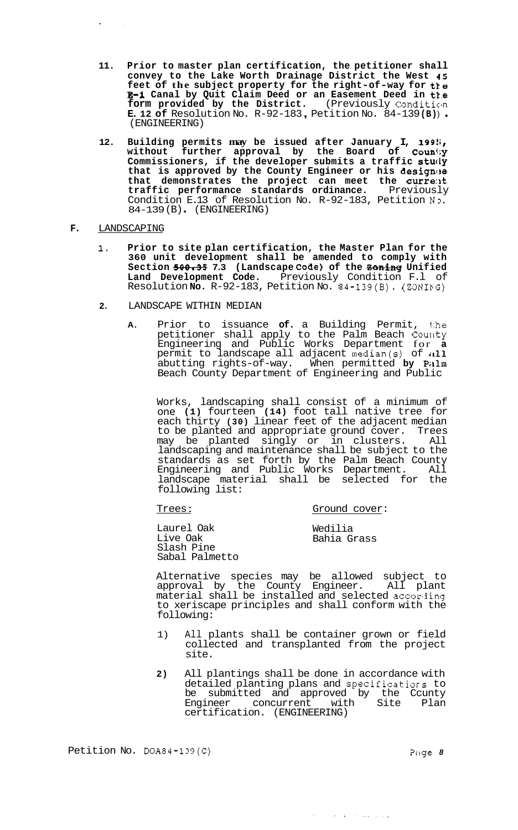- **11. Prior to master plan certification, the petitioner shall convey to the Lake Worth Drainage District the West 45 feet of the subject property for the right-of-way for tte E-1 Canal by Quit Claim Deed or an Easement Deed in t1.e**  form provided by the District. (Previously Condition **E. 12 of** Resolution No. R-92-183, Petition No. 84-139(B)).
- **12.** Building permits **may** be issued after January I, 199!; **without further approval by the Board of Counl;y Commissioners, if the developer submits a traffic stucly**  that is approved by the County Engineer or his designee that demonstrates the project can meet the current **traffic performance standards ordinance.** Previously Condition E.13 of Resolution No. R-92-183, Petition No. 84-139 (B) . (ENGINEERING)

# **F.** LANDSCAPING

- **1. Prior to site plan certification, the Master Plan for the 360 unit development shall be amended to comply with**  Section  $500-35$  7.3 (Landscape Code) of the **Zoning** Unified Land Development Code. Previously Condition F.1 of Resolution **No.** R-92-183, Petition No. 84-139(B). (ZONIPG)
- **2.** LANDSCAPE WITHIN MEDIAN
	- **A.** Prior to issuance **of.** a Building Permit, 1:he petitioner shall apply to the Palm Beach County Engineering and Public Works Department for **a**  permit to landscape all adjacent median(s) of  $a11$ abutting rights-of-way. When permitted **by** PiLlm Beach County Department of Engineering and Public

Works, landscaping shall consist of a minimum of one **(1)** fourteen **(14)** foot tall native tree for each thirty **(30)** linear feet of the adjacent median to be planted and appropriate ground cover. Trees<br>may be planted singly or in clusters all  $may$  be planted  $singly$  or in clusters. landscaping and maintenance shall be subject to the standards as set forth by the Palm Beach County Engineering and Public Works Department. All landscape material shall be selected for the following list:

# Trees : Ground cover:

Laurel Oak Live Oak Slash Pine Sabal Palmetto

Wedilia Bahia Grass

للمروان والمتحدث والمتحدث والمحادث

Alternative species may be allowed subject to approval by the County Engineer. All plant material shall be installed and selected accoriing to xeriscape principles and shall conform with the following:

- 1) All plants shall be container grown or field collected and transplanted from the project site.
- **2)** All plantings shall be done in accordance with detailed planting plans and specificatiors to be submitted and approved by the Ccunty Engineer concurrent with Site Plan certification. (ENGINEERING)

Petition No. DOA84-139(C) Petition No. DOA84-139(C)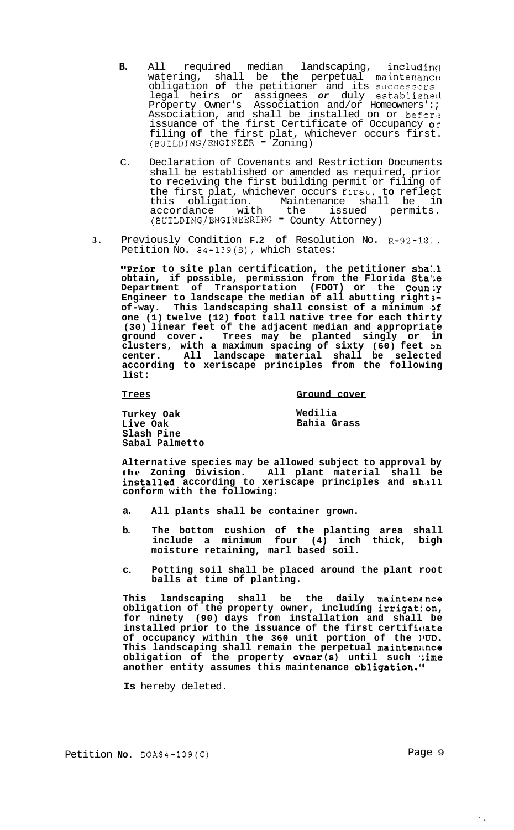- **B.** All required median landscaping, including watering, shall be the perpetual maintenanc $\alpha$ obligation **of** the petitioner and its successors legal heirs or assignees *or* duly establisheci Property Owner's Association and/or Homeowners':; Association, and shall be installed on or before issuance of the first Certificate of Occupancy o: filing **of** the first plat, whichever occurs first.<br>(BUILDING/ENGINEER = Zoning)
- C. Declaration of Covenants and Restriction Documents shall be established or amended as required, prior to receiving the first building permit or filing of the first plat, whichever occurs **firsc-, to** reflect this obligation. Maintenance shall be in accordance with the issued permits.<br>(BUILDING/ENGINEERING County Attorney)
- **3.**  Previously Condition **F.2 of** Resolution No. R-92-18:' Petition No. 84-139(B), which states:

**T?rior to site plan certification, the petitioner sha:.l obtain, if possible, permission from the Florida Sta';e Department of Transportation (FDOT) or the Coun:y Engineer to landscape the median of all abutting right 3**  of-way. This landscaping shall consist of a minimum of **one (1) twelve (12) foot tall native tree for each thirty (30) linear feet of the adjacent median and appropriate ground cover** . **Trees may be planted singly or in clusters, with a maximum spacing of sixty (60) feet on center. All landscape material shall be selected according to xeriscape principles from the following list:** 

**Trees Ground cover** 

**Turkey Oak Live Oak Slash Pine Sabal Palmetto**  **Wedilia Bahia Grass** 

**Alternative species may be allowed subject to approval by the Zoning Division. All plant material shall be installed** according to xeriscape principles and shall **conform with the following:** 

- **a. All plants shall be container grown.**
- **b. The bottom cushion of the planting area shall include a minimum four (4) inch thick, bigh moisture retaining, marl based soil.**
- **C. Potting soil shall be placed around the plant root balls at time of planting.**

This landscaping shall be the daily maintenance **obligation of the property owner, including irrigatj.on, for ninety (90) days from installation and shall be**  installed prior to the issuance of the first certificate **of occupancy within the 360 unit portion of the IWD. This landscaping shall remain the perpetual maintenirnce obligation of the property owner(s) until such \*:ime**  another entity assumes this maintenance obligation.<sup>1</sup>

**Is** hereby deleted.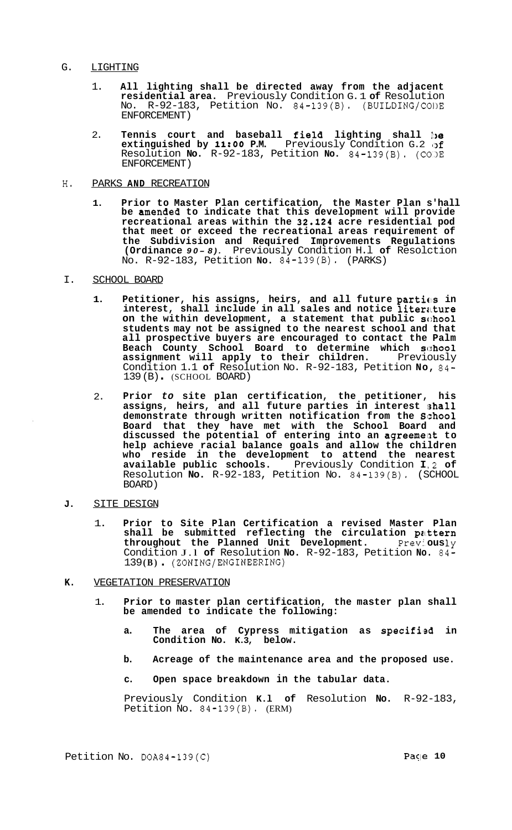### G. LIGHTING

- 1. **All lighting shall be directed away from the adjacent residential area.** Previously Condition G. 1 **of** Resolution No. R-92-183, Petition No. 84-139(B). (BUILDING/COl)E ENFORCEMENT)
- 2. **Tennis court and baseball field lighting shall be extinguished by 11:OO P.M.** Previously Condition G.2 **(:of**  Resolution **No.** R-92-183, Petition **No.** 84-139(B). (C0,)E ENFORCEMENT)
- **H.** PARKS **AND** RECREATION
	- **1. Prior to Master Plan certification, the Master Plan s'hall**  be amended to indicate that this development will provide **recreational areas within the 32.124 acre residential pod that meet or exceed the recreational areas requirement of the Subdivision and Required Improvements Regulations (Ordinance** *9 0 - 8).* Previously Condition H.l **of** Resolction No. R-92-183, Petition **No.** 84-139(B). (PARKS)
- I. SCHOOL BOARD
	- 1. Petitioner, his assigns, heirs, and all future parties in **interest, shall include in all sales and notice literature on the within development, a statement that public school students may not be assigned to the nearest school and that all prospective buyers are encouraged to contact the Palm Beach County School Board to determine which sc::hool assignment will apply to their children.** Previously Condition 1.1 **of** Resolution No. R-92-183, Petition **No,** 84- 139 (B) . (SCHOOL BOARD)
	- 2. **Prior** *to* **site plan certification, the petitioner, his**  assigns, heirs, and all future parties in interest shall **demonstrate through written notification from the Slzhool Board that they have met with the School Board and discussed the potential of entering into an agreemellt to help achieve racial balance goals and allow the children who reside in the development to attend the nearest available public schools.** Previously Condition **I** .2 **of**  Resolution **No.** R-92-183, Petition No. 84-139(B). (SCHOOL BOARD)
- J. **SITE DESIGN** 
	- 1. **Prior to Site Plan Certification a revised Master Plan shall be submitted reflecting the circulation pattern throughout the Planned Unit Development.** Previ, **ous** ly Condition J.l **of** Resolution **No.** R-92-183, Petition **No.** 84- <sup>139</sup>**(B)** . (ZONING/ENGINEERING)
- **K.** VEGETATION PRESERVATION
	- 1. **Prior to master plan certification, the master plan shall be amended to indicate the following:** 
		- **a. The area of Cypress mitigation as specifiled in Condition No. K.3, below.**
		- **b. Acreage of the maintenance area and the proposed use.**
		- **c. Open space breakdown in the tabular data.**

Previously Condition **K.l of** Resolution **No.** R-92-183, Petition  $\overline{N}$ o. 84-139(B). (ERM)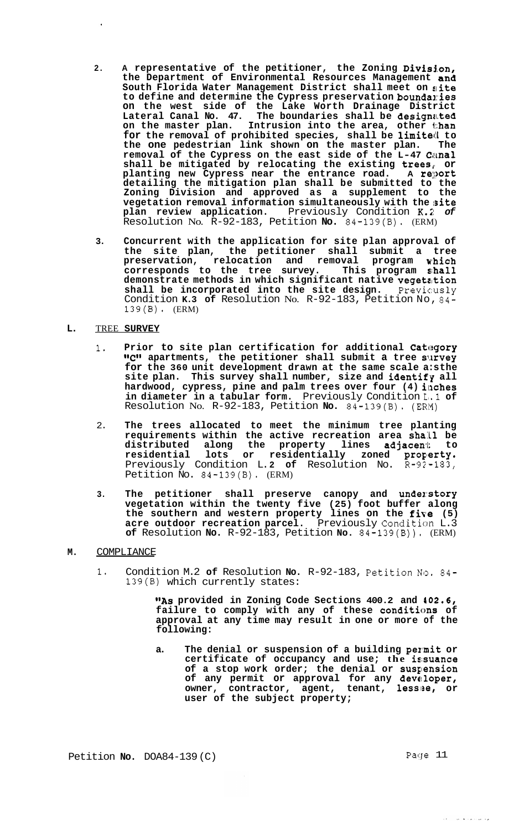- 2. A representative of the petitioner, the Zoning Division, **the Department of Environmental Resources Management and South Florida Water Management District shall meet on aite**  to define and determine the Cypress preservation boundaries **on the west side of the Lake Worth Drainage District Lateral Canal No. 47. The boundaries shall be designa.ted on the master plan. Intrusion into the area, other than for the removal of prohibited species, shall be limited to the one pedestrian link shown on the master plan.** The the one pedestrian link shown on the master plan. removal of the Cypress on the east side of the L-47 Canal **shall be mitigated by relocating the existing trees,, or planting new Cypress near the entrance road. A report detailing the mitigation plan shall be submitted to the Zoning Division and approved as a supplement to the vegetation removal information simultaneously with the ;site plan review application.** Previously Condition **K.;;** *of*  Resolution No. R-92-183, Petition **No.** 84-139(B). (ERM)
- **3. Concurrent with the application for site plan approval of the site plan, the petitioner shall submit a tree preservation, relocation and removal program wlhich corresponds to the tree survey. This program sihall demonstrate methods in which significant native vegetzjtion shall be incorporated into the site design.** Previcusly Condition **K.3 of** Resolution No. R-92-183, Petition No, 84- 139(B). (ERM)

#### **L.**  TREE **SURVEY**

- 1. Prior to site plan certification for additional Category **"C"** apartments, the petitioner shall submit a tree survey for the 360 unit development drawn at the same scale a:sthe site plan. This survey shall number, size and identify all hardwood, cypress, pine and palm trees over four (4) inches **in diameter in a tabular form.** Previously Condition L,.l **of**  Resolution No. R-92-183, Petition **No.** 84-139(B). (ERI5)
- 2. **The trees allocated to meet the minimum tree planting**  requirements within the active recreation area shall be distributed along the property lines adjacent to residential lots or residentially zoned prope**rty.** Previously Condition L. **2 of** Resolution No. R-92-183, Petition No. 84-139(B). (ERM)
- **3. The petitioner shall preserve canopy and unde~:story vegetation within the twenty five (25) foot buffer along**  the southern and western property lines on the **five** (5) acre outdoor recreation parcel. Previously Condition L.3 **of** Resolution **No.** R-92-183, Petition **No.** 84-139(B)). (ERM)

# **M.** COMPLIANCE

1. Condition M.2 of Resolution No. R-92-183, Petition No. 84-139(B) which currently states:

> **"As provided in Zoning Code Sections 400.2 and 402.6,**  failure to comply with any of these conditions of **approval at any time may result in one or more of the following:**

a. The denial or suspension of a building permit or **certificate of occupancy and use; the isisuance**  of a stop work order; the denial or suspension of any permit or approval for any developer, owner, contractor, agent, tenant, lessee, or **user of the subject property;** 

Petition **No.** DOA84-139 (C) Page 11